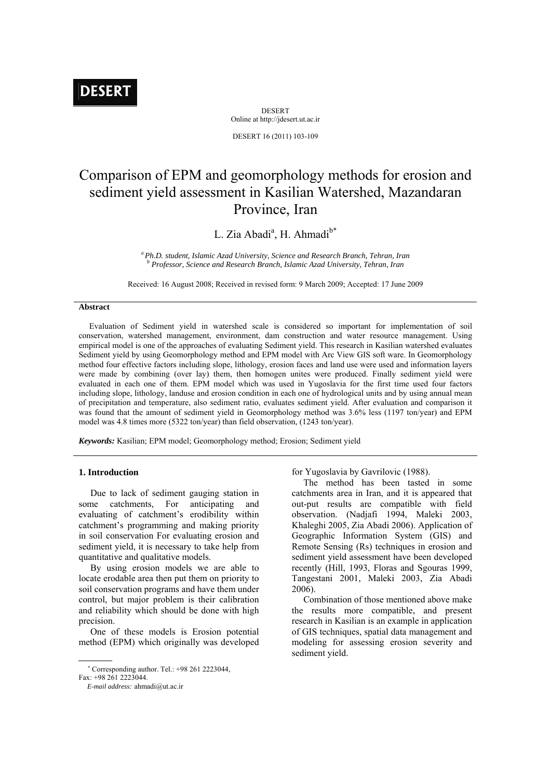DESERT Online at http://jdesert.ut.ac.ir

DESERT 16 (2011) 103-109

# Comparison of EPM and geomorphology methods for erosion and sediment yield assessment in Kasilian Watershed, Mazandaran Province, Iran

# L. Zia Abadi<sup>a</sup>, H. Ahmadi<sup>b\*</sup>

<sup>a</sup> Ph.D. student, Islamic Azad University, Science and Research Branch, Tehran, Iran  *Professor, Science and Research Branch, Islamic Azad University, Tehran, Iran* 

Received: 16 August 2008; Received in revised form: 9 March 2009; Accepted: 17 June 2009

#### **Abstract**

 Evaluation of Sediment yield in watershed scale is considered so important for implementation of soil conservation, watershed management, environment, dam construction and water resource management. Using empirical model is one of the approaches of evaluating Sediment yield. This research in Kasilian watershed evaluates Sediment yield by using Geomorphology method and EPM model with Arc View GIS soft ware. In Geomorphology method four effective factors including slope, lithology, erosion faces and land use were used and information layers were made by combining (over lay) them, then homogen unites were produced. Finally sediment yield were evaluated in each one of them. EPM model which was used in Yugoslavia for the first time used four factors including slope, lithology, landuse and erosion condition in each one of hydrological units and by using annual mean of precipitation and temperature, also sediment ratio, evaluates sediment yield. After evaluation and comparison it was found that the amount of sediment yield in Geomorphology method was 3.6% less (1197 ton/year) and EPM model was 4.8 times more (5322 ton/year) than field observation, (1243 ton/year).

*Keywords:* Kasilian; EPM model; Geomorphology method; Erosion; Sediment yield

#### **1. Introduction**

 Due to lack of sediment gauging station in some catchments, For anticipating and evaluating of catchment's erodibility within catchment's programming and making priority in soil conservation For evaluating erosion and sediment yield, it is necessary to take help from quantitative and qualitative models.

 By using erosion models we are able to locate erodable area then put them on priority to soil conservation programs and have them under control, but major problem is their calibration and reliability which should be done with high precision.

 One of these models is Erosion potential method (EPM) which originally was developed

 $*$  Corresponding author. Tel.:  $+98\,261\,2223044$ ,

 *E-mail address:* ahmadi@ut.ac.ir

for Yugoslavia by Gavrilovic (1988).

 The method has been tasted in some catchments area in Iran, and it is appeared that out-put results are compatible with field observation. (Nadjafi 1994, Maleki 2003, Khaleghi 2005, Zia Abadi 2006). Application of Geographic Information System (GIS) and Remote Sensing (Rs) techniques in erosion and sediment yield assessment have been developed recently (Hill, 1993, Floras and Sgouras 1999, Tangestani 2001, Maleki 2003, Zia Abadi 2006).

 Combination of those mentioned above make the results more compatible, and present research in Kasilian is an example in application of GIS techniques, spatial data management and modeling for assessing erosion severity and sediment yield.

Fax: +98 261 2223044.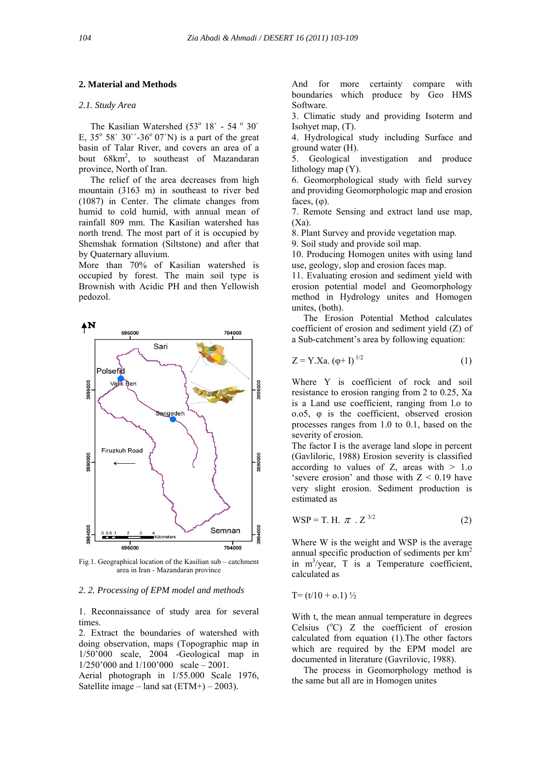### **2. Material and Methods**

#### *2.1. Study Area*

The Kasilian Watershed  $(53^{\circ} 18^{\circ} - 54^{\circ} 30^{\circ})$ E,  $35^{\circ}$  58` 30``-36° 07`N) is a part of the great basin of Talar River, and covers an area of a bout 68km<sup>2</sup>, to southeast of Mazandaran province, North of Iran.

 The relief of the area decreases from high mountain (3163 m) in southeast to river bed (1087) in Center. The climate changes from humid to cold humid, with annual mean of rainfall 809 mm. The Kasilian watershed has north trend. The most part of it is occupied by Shemshak formation (Siltstone) and after that by Quaternary alluvium.

More than 70% of Kasilian watershed is occupied by forest. The main soil type is Brownish with Acidic PH and then Yellowish pedozol.



Fig.1. Geographical location of the Kasilian sub – catchment area in Iran - Mazandaran province

#### *2. 2. Processing of EPM model and methods*

1. Reconnaissance of study area for several times.

2. Extract the boundaries of watershed with doing observation, maps (Topographic map in 1/50'000 scale, 2004 -Geological map in 1/250'000 and 1/100'000 scale – 2001.

Aerial photograph in 1/55.000 Scale 1976, Satellite image – land sat  $(ETM+)-2003)$ .

And for more certainty compare with boundaries which produce by Geo HMS Software.

3. Climatic study and providing Isoterm and Isohyet map, (T).

4. Hydrological study including Surface and ground water (H).

5. Geological investigation and produce lithology map (Y).

6. Geomorphological study with field survey and providing Geomorphologic map and erosion faces,  $(\omega)$ .

7. Remote Sensing and extract land use map, (Xa).

8. Plant Survey and provide vegetation map.

9. Soil study and provide soil map.

10. Producing Homogen unites with using land use, geology, slop and erosion faces map.

11. Evaluating erosion and sediment yield with erosion potential model and Geomorphology method in Hydrology unites and Homogen unites, (both).

 The Erosion Potential Method calculates coefficient of erosion and sediment yield (Z) of a Sub-catchment's area by following equation:

$$
Z = Y.Xa. (φ+I)1/2
$$
 (1)

Where Y is coefficient of rock and soil resistance to erosion ranging from 2 to 0.25, Xa is a Land use coefficient, ranging from l.o to o.o5, φ is the coefficient, observed erosion processes ranges from 1.0 to 0.1, based on the severity of erosion.

The factor I is the average land slope in percent (Gavliloric, 1988) Erosion severity is classified according to values of  $Z$ , areas with  $> 1.0$ 'severe erosion' and those with  $Z \le 0.19$  have very slight erosion. Sediment production is estimated as

$$
WSP = T. H. \pi . Z^{3/2}
$$
 (2)

Where W is the weight and WSP is the average annual specific production of sediments per  $km<sup>2</sup>$ in m3 /year, T is a Temperature coefficient, calculated as

 $T=(t/10 + 0.1)$   $\frac{1}{2}$ 

With t, the mean annual temperature in degrees Celsius  $(^{\circ}C)$  Z the coefficient of erosion calculated from equation (1).The other factors which are required by the EPM model are documented in literature (Gavrilovic, 1988).

 The process in Geomorphology method is the same but all are in Homogen unites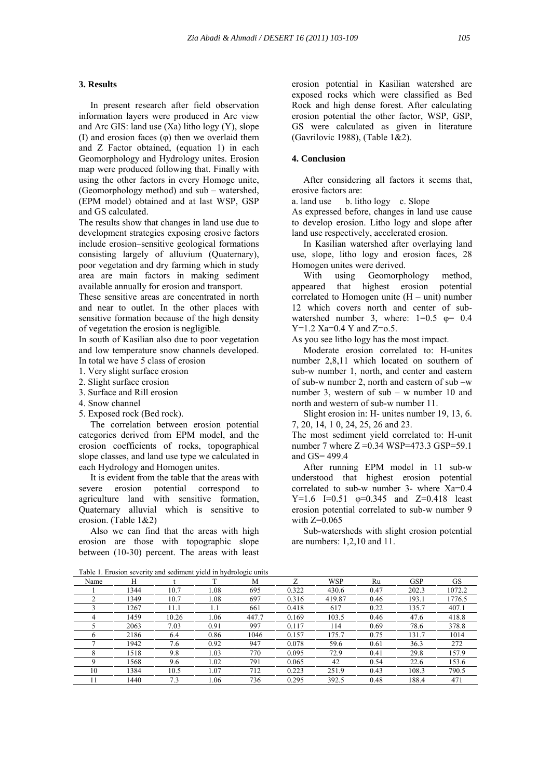#### **3. Results**

 In present research after field observation information layers were produced in Arc view and Arc GIS: land use  $(Xa)$  litho logy  $(Y)$ , slope (I) and erosion faces (φ) then we overlaid them and Z Factor obtained, (equation 1) in each Geomorphology and Hydrology unites. Erosion map were produced following that. Finally with using the other factors in every Homoge unite, (Geomorphology method) and sub – watershed, (EPM model) obtained and at last WSP, GSP and GS calculated.

The results show that changes in land use due to development strategies exposing erosive factors include erosion–sensitive geological formations consisting largely of alluvium (Quaternary), poor vegetation and dry farming which in study area are main factors in making sediment available annually for erosion and transport.

These sensitive areas are concentrated in north and near to outlet. In the other places with sensitive formation because of the high density of vegetation the erosion is negligible.

In south of Kasilian also due to poor vegetation and low temperature snow channels developed. In total we have 5 class of erosion

- 1. Very slight surface erosion
- 2. Slight surface erosion
- 3. Surface and Rill erosion
- 4. Snow channel
- 
- 5. Exposed rock (Bed rock).

 The correlation between erosion potential categories derived from EPM model, and the erosion coefficients of rocks, topographical slope classes, and land use type we calculated in each Hydrology and Homogen unites.

 It is evident from the table that the areas with severe erosion potential correspond to agriculture land with sensitive formation, Quaternary alluvial which is sensitive to erosion. (Table 1&2)

 Also we can find that the areas with high erosion are those with topographic slope between (10-30) percent. The areas with least erosion potential in Kasilian watershed are exposed rocks which were classified as Bed Rock and high dense forest. After calculating erosion potential the other factor, WSP, GSP, GS were calculated as given in literature (Gavrilovic 1988), (Table 1&2).

## **4. Conclusion**

 After considering all factors it seems that, erosive factors are:

a. land use b. litho logy c. Slope

As expressed before, changes in land use cause to develop erosion. Litho logy and slope after land use respectively, accelerated erosion.

 In Kasilian watershed after overlaying land use, slope, litho logy and erosion faces, 28 Homogen unites were derived.

 With using Geomorphology method, appeared that highest erosion potential correlated to Homogen unite  $(H - unit)$  number 12 which covers north and center of subwatershed number 3, where:  $1=0.5$   $\varphi = 0.4$  $Y=1.2$  Xa=0.4 Y and Z=0.5.

As you see litho logy has the most impact.

 Moderate erosion correlated to: H-unites number 2,8,11 which located on southern of sub-w number 1, north, and center and eastern of sub-w number 2, north and eastern of sub –w number 3, western of sub – w number 10 and north and western of sub-w number 11.

 Slight erosion in: H- unites number 19, 13, 6. 7, 20, 14, 1 0, 24, 25, 26 and 23.

The most sediment yield correlated to: H-unit number 7 where  $Z = 0.34$  WSP=473.3 GSP=59.1 and GS= 499.4

 After running EPM model in 11 sub-w understood that highest erosion potential correlated to sub-w number 3- where Xa=0.4 Y=1.6 I=0.51  $\varphi$ =0.345 and Z=0.418 least erosion potential correlated to sub-w number 9 with  $Z=0.065$ 

 Sub-watersheds with slight erosion potential are numbers: 1,2,10 and 11.

| Table 1. Erosion severity and sediment yield in hydrologic units |  |  |
|------------------------------------------------------------------|--|--|
|                                                                  |  |  |

| Name | Н    |       |      | M     | 7     | <b>WSP</b> | Ru   | GSP   | GS     |
|------|------|-------|------|-------|-------|------------|------|-------|--------|
|      | 1344 | 10.7  | 1.08 | 695   | 0.322 | 430.6      | 0.47 | 202.3 | 1072.2 |
|      | 1349 | 10.7  | 1.08 | 697   | 0.316 | 419.87     | 0.46 | 193.1 | 1776.5 |
|      | 1267 | 11.1  | 1.1  | 661   | 0.418 | 617        | 0.22 | 135.7 | 407.1  |
|      | 1459 | 10.26 | 1.06 | 447.7 | 0.169 | 103.5      | 0.46 | 47.6  | 418.8  |
|      | 2063 | 7.03  | 0.91 | 997   | 0.117 | 114        | 0.69 | 78.6  | 378.8  |
|      | 2186 | 6.4   | 0.86 | 1046  | 0.157 | 175.7      | 0.75 | 131.7 | 1014   |
|      | 1942 | 7.6   | 0.92 | 947   | 0.078 | 59.6       | 0.61 | 36.3  | 272    |
|      | 1518 | 9.8   | 1.03 | 770   | 0.095 | 72.9       | 0.41 | 29.8  | 157.9  |
| Q    | 1568 | 9.6   | 1.02 | 791   | 0.065 | 42         | 0.54 | 22.6  | 153.6  |
| 10   | 1384 | 10.5  | 1.07 | 712   | 0.223 | 251.9      | 0.43 | 108.3 | 790.5  |
|      | 1440 | 7.3   | 1.06 | 736   | 0.295 | 392.5      | 0.48 | 188.4 | 471    |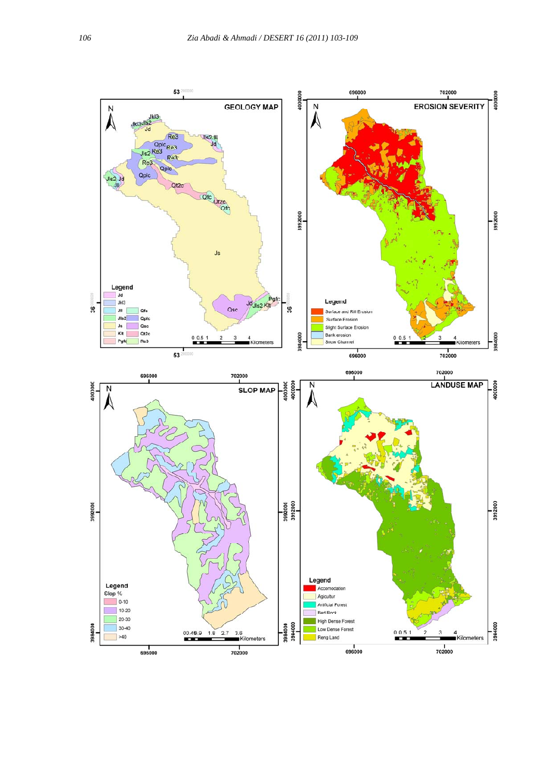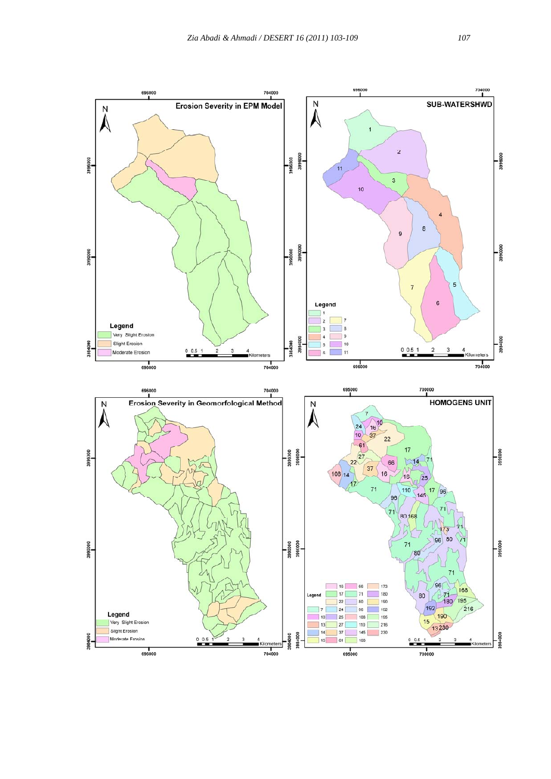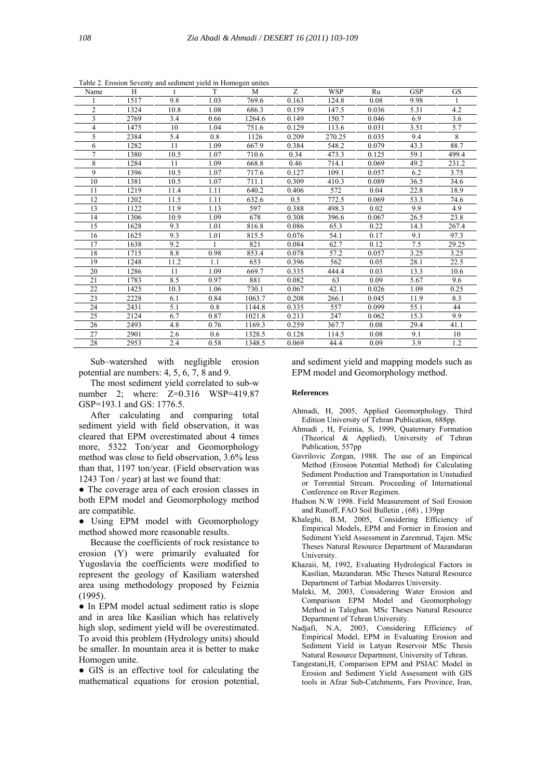| Name           | H    | ŧ    | T    | M      | Ζ     | <b>WSP</b> | Ru    | <b>GSP</b> | <b>GS</b> |
|----------------|------|------|------|--------|-------|------------|-------|------------|-----------|
|                | 1517 | 9.8  | 1.03 | 769.6  | 0.163 | 124.8      | 0.08  | 9.98       |           |
| $\overline{c}$ | 1324 | 10.8 | 1.08 | 686.3  | 0.159 | 147.5      | 0.036 | 5.31       | 4.2       |
| 3              | 2769 | 3.4  | 0.66 | 1264.6 | 0.149 | 150.7      | 0.046 | 6.9        | 3.6       |
| 4              | 1475 | 10   | 1.04 | 751.6  | 0.129 | 113.6      | 0.031 | 3.51       | 5.7       |
| 5              | 2384 | 5.4  | 0.8  | 1126   | 0.209 | 270.25     | 0.035 | 9.4        | 8         |
| 6              | 1282 | 11   | 1.09 | 667.9  | 0.384 | 548.2      | 0.079 | 43.3       | 88.7      |
| 7              | 1380 | 10.5 | 1.07 | 710.6  | 0.34  | 473.3      | 0.125 | 59.1       | 499.4     |
| 8              | 1284 | 11   | 1.09 | 668.8  | 0.46  | 714.1      | 0.069 | 49.2       | 231.2     |
| 9              | 1396 | 10.5 | 1.07 | 717.6  | 0.127 | 109.1      | 0.057 | 6.2        | 3.75      |
| 10             | 1381 | 10.5 | 1.07 | 711.1  | 0.309 | 410.3      | 0.089 | 36.5       | 34.6      |
| 11             | 1219 | 11.4 | 1.11 | 640.2  | 0.406 | 572        | 0.04  | 22.8       | 18.9      |
| 12             | 1202 | 11.5 | 1.11 | 632.6  | 0.5   | 772.5      | 0.069 | 53.3       | 74.6      |
| 13             | 1122 | 11.9 | 1.13 | 597    | 0.388 | 498.3      | 0.02  | 9.9        | 4.9       |
| 14             | 1306 | 10.9 | 1.09 | 678    | 0.308 | 396.6      | 0.067 | 26.5       | 23.8      |
| 15             | 1628 | 9.3  | 1.01 | 816.8  | 0.086 | 65.3       | 0.22  | 14.3       | 267.4     |
| 16             | 1625 | 9.3  | 1.01 | 815.5  | 0.076 | 54.1       | 0.17  | 9.1        | 97.3      |
| 17             | 1638 | 9.2  |      | 821    | 0.084 | 62.7       | 0.12  | 7.5        | 29.25     |
| 18             | 1715 | 8.8  | 0.98 | 853.4  | 0.078 | 57.2       | 0.057 | 3.25       | 3.25      |
| 19             | 1248 | 11.2 | 1.1  | 653    | 0.396 | 562        | 0.05  | 28.1       | 22.5      |
| 20             | 1286 | 11   | 1.09 | 669.7  | 0.335 | 444.4      | 0.03  | 13.3       | 10.6      |
| 21             | 1783 | 8.5  | 0.97 | 881    | 0.082 | 63         | 0.09  | 5.67       | 9.6       |
| 22             | 1425 | 10.3 | 1.06 | 730.1  | 0.067 | 42.1       | 0.026 | 1.09       | 0.25      |
| 23             | 2228 | 6.1  | 0.84 | 1063.7 | 0.208 | 266.1      | 0.045 | 11.9       | 8.3       |
| 24             | 2431 | 5.1  | 0.8  | 1144.8 | 0.335 | 557        | 0.099 | 55.1       | 44        |
| 25             | 2124 | 6.7  | 0.87 | 1021.8 | 0.213 | 247        | 0.062 | 15.3       | 9.9       |
| 26             | 2493 | 4.8  | 0.76 | 1169.3 | 0.259 | 367.7      | 0.08  | 29.4       | 41.1      |
| 27             | 2901 | 2.6  | 0.6  | 1328.5 | 0.128 | 114.5      | 0.08  | 9.1        | 10        |
| 28             | 2953 | 2.4  | 0.58 | 1348.5 | 0.069 | 44.4       | 0.09  | 3.9        | 1.2       |

Table 2. Erosion Seventy and sediment yield in Homogen unites

 Sub–watershed with negligible erosion potential are numbers: 4, 5, 6, 7, 8 and 9.

 The most sediment yield correlated to sub-w number 2; where: Z=0.316 WSP=419.87 GSP=193.1 and GS: 1776.5.

 After calculating and comparing total sediment yield with field observation, it was cleared that EPM overestimated about 4 times more, 5322 Ton/year and Geomorphology method was close to field observation, 3.6% less than that, 1197 ton/year. (Field observation was 1243 Ton / year) at last we found that:

● The coverage area of each erosion classes in both EPM model and Geomorphology method are compatible.

● Using EPM model with Geomorphology method showed more reasonable results.

 Because the coefficients of rock resistance to erosion (Y) were primarily evaluated for Yugoslavia the coefficients were modified to represent the geology of Kasiliam watershed area using methodology proposed by Feiznia (1995).

● In EPM model actual sediment ratio is slope and in area like Kasilian which has relatively high slop, sediment yield will be overestimated. To avoid this problem (Hydrology units) should be smaller. In mountain area it is better to make Homogen unite.

● GIS is an effective tool for calculating the mathematical equations for erosion potential, and sediment yield and mapping models such as EPM model and Geomorphology method.

#### **References**

- Ahmadi, H, 2005, Applied Geomorphology. Third Edition University of Tehran Publication, 688pp.
- Ahmadi , H, Feiznia, S, 1999, Quaternary Formation (Theorical & Applied), University of Tehran Publication, 557pp
- Gavrilovic Zorgan, 1988. The use of an Empirical Method (Erosion Potential Method) for Calculating Sediment Production and Transportation in Unstudied or Torrential Stream. Proceeding of International Conference on River Regimen.
- Hudson N.W 1998. Field Measurement of Soil Erosion and Runoff, FAO Soil Bulletin , (68) , 139pp
- Khaleghi, B.M, 2005, Considering Efficiency of Empirical Models, EPM and Fornier in Erosion and Sediment Yield Assessment in Zaremrud, Tajen. MSc Theses Natural Resource Department of Mazandaran University.
- Khazaii, M, 1992, Evaluating Hydrological Factors in Kasilian, Mazandaran. MSc Theses Natural Resource Department of Tarbiat Modarres University.
- Maleki, M, 2003, Considering Water Erosion and Comparison EPM Model and Geomorphology Method in Taleghan. MSc Theses Natural Resource Department of Tehran University.
- Nadjafi, N.A, 2003, Considering Efficiency of Empirical Model, EPM in Evaluating Erosion and Sediment Yield in Latyan Reservoir MSc Thesis Natural Resource Department, University of Tehran.
- Tangestani,H, Comparison EPM and PSIAC Model in Erosion and Sediment Yield Assessment with GIS tools in Afzar Sub-Catchments, Fars Province, Iran,